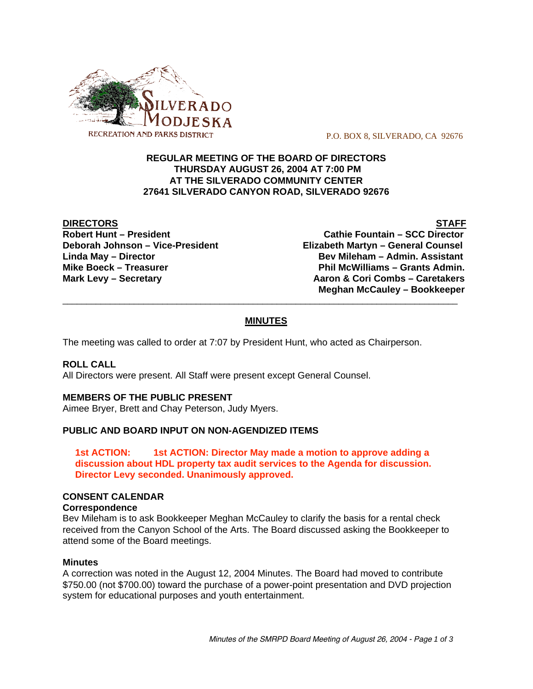

P.O. BOX 8, SILVERADO, CA 92676

## **REGULAR MEETING OF THE BOARD OF DIRECTORS THURSDAY AUGUST 26, 2004 AT 7:00 PM AT THE SILVERADO COMMUNITY CENTER 27641 SILVERADO CANYON ROAD, SILVERADO 92676**

**DIRECTORS** STAFF

**Robert Hunt – President Cathie Fountain – SCC Director Deborah Johnson – Vice-President Elizabeth Martyn – General Counsel Linda May – Director Bev Mileham – Admin. Assistant** Mike Boeck – Treasurer **Phil McWilliams – Grants Admin. Mark Levy – Secretary Combs – Caretakers** Aaron & Cori Combs – Caretakers  **Meghan McCauley – Bookkeeper**

# **MINUTES**

\_\_\_\_\_\_\_\_\_\_\_\_\_\_\_\_\_\_\_\_\_\_\_\_\_\_\_\_\_\_\_\_\_\_\_\_\_\_\_\_\_\_\_\_\_\_\_\_\_\_\_\_\_\_\_\_\_\_\_\_\_\_\_\_\_\_\_\_\_\_\_\_\_\_\_\_\_\_\_\_\_\_\_

The meeting was called to order at 7:07 by President Hunt, who acted as Chairperson.

### **ROLL CALL**

All Directors were present. All Staff were present except General Counsel.

### **MEMBERS OF THE PUBLIC PRESENT**

Aimee Bryer, Brett and Chay Peterson, Judy Myers.

### **PUBLIC AND BOARD INPUT ON NON-AGENDIZED ITEMS**

**1st ACTION: 1st ACTION: Director May made a motion to approve adding a discussion about HDL property tax audit services to the Agenda for discussion. Director Levy seconded. Unanimously approved.**

#### **CONSENT CALENDAR**

#### **Correspondence**

Bev Mileham is to ask Bookkeeper Meghan McCauley to clarify the basis for a rental check received from the Canyon School of the Arts. The Board discussed asking the Bookkeeper to attend some of the Board meetings.

#### **Minutes**

A correction was noted in the August 12, 2004 Minutes. The Board had moved to contribute \$750.00 (not \$700.00) toward the purchase of a power-point presentation and DVD projection system for educational purposes and youth entertainment.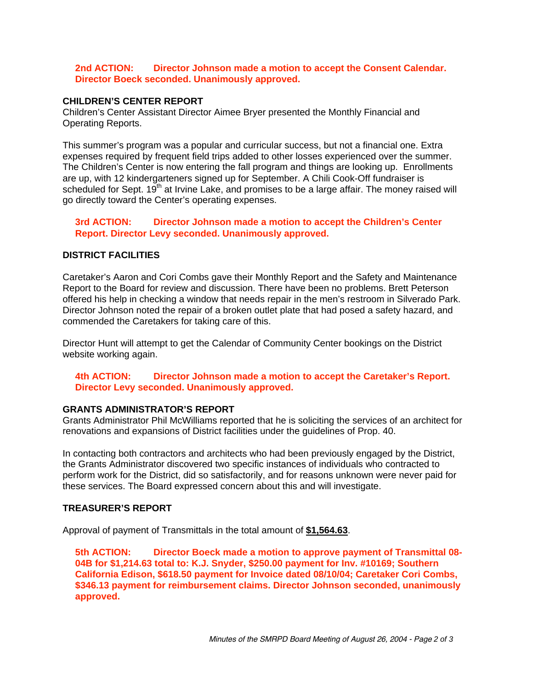### **2nd ACTION: Director Johnson made a motion to accept the Consent Calendar. Director Boeck seconded. Unanimously approved.**

## **CHILDREN'S CENTER REPORT**

Children's Center Assistant Director Aimee Bryer presented the Monthly Financial and Operating Reports.

This summer's program was a popular and curricular success, but not a financial one. Extra expenses required by frequent field trips added to other losses experienced over the summer. The Children's Center is now entering the fall program and things are looking up. Enrollments are up, with 12 kindergarteners signed up for September. A Chili Cook-Off fundraiser is scheduled for Sept.  $19<sup>th</sup>$  at Irvine Lake, and promises to be a large affair. The money raised will go directly toward the Center's operating expenses.

### **3rd ACTION: Director Johnson made a motion to accept the Children's Center Report. Director Levy seconded. Unanimously approved.**

### **DISTRICT FACILITIES**

Caretaker's Aaron and Cori Combs gave their Monthly Report and the Safety and Maintenance Report to the Board for review and discussion. There have been no problems. Brett Peterson offered his help in checking a window that needs repair in the men's restroom in Silverado Park. Director Johnson noted the repair of a broken outlet plate that had posed a safety hazard, and commended the Caretakers for taking care of this.

Director Hunt will attempt to get the Calendar of Community Center bookings on the District website working again.

**4th ACTION: Director Johnson made a motion to accept the Caretaker's Report. Director Levy seconded. Unanimously approved.**

#### **GRANTS ADMINISTRATOR'S REPORT**

Grants Administrator Phil McWilliams reported that he is soliciting the services of an architect for renovations and expansions of District facilities under the guidelines of Prop. 40.

In contacting both contractors and architects who had been previously engaged by the District, the Grants Administrator discovered two specific instances of individuals who contracted to perform work for the District, did so satisfactorily, and for reasons unknown were never paid for these services. The Board expressed concern about this and will investigate.

#### **TREASURER'S REPORT**

Approval of payment of Transmittals in the total amount of **\$1,564.63**.

**5th ACTION: Director Boeck made a motion to approve payment of Transmittal 08- 04B for \$1,214.63 total to: K.J. Snyder, \$250.00 payment for Inv. #10169; Southern California Edison, \$618.50 payment for Invoice dated 08/10/04; Caretaker Cori Combs, \$346.13 payment for reimbursement claims. Director Johnson seconded, unanimously approved.**